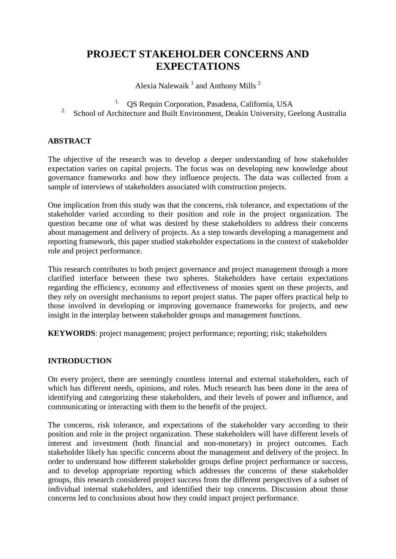# **PROJECT STAKEHOLDER CONCERNS AND EXPECTATIONS**

Alexia Nalewaik  $1$  and Anthony Mills  $2$ 

1. QS Requin Corporation, Pasadena, California, USA

<sup>2</sup>. School of Architecture and Built Environment, Deakin University, Geelong Australia

# **ABSTRACT**

The objective of the research was to develop a deeper understanding of how stakeholder expectation varies on capital projects. The focus was on developing new knowledge about governance frameworks and how they influence projects. The data was collected from a sample of interviews of stakeholders associated with construction projects.

One implication from this study was that the concerns, risk tolerance, and expectations of the stakeholder varied according to their position and role in the project organization. The question became one of what was desired by these stakeholders to address their concerns about management and delivery of projects. As a step towards developing a management and reporting framework, this paper studied stakeholder expectations in the context of stakeholder role and project performance.

This research contributes to both project governance and project management through a more clarified interface between these two spheres. Stakeholders have certain expectations regarding the efficiency, economy and effectiveness of monies spent on these projects, and they rely on oversight mechanisms to report project status. The paper offers practical help to those involved in developing or improving governance frameworks for projects, and new insight in the interplay between stakeholder groups and management functions.

**KEYWORDS**: project management; project performance; reporting; risk; stakeholders

#### **INTRODUCTION**

On every project, there are seemingly countless internal and external stakeholders, each of which has different needs, opinions, and roles. Much research has been done in the area of identifying and categorizing these stakeholders, and their levels of power and influence, and communicating or interacting with them to the benefit of the project.

The concerns, risk tolerance, and expectations of the stakeholder vary according to their position and role in the project organization. These stakeholders will have different levels of interest and investment (both financial and non-monetary) in project outcomes. Each stakeholder likely has specific concerns about the management and delivery of the project. In order to understand how different stakeholder groups define project performance or success, and to develop appropriate reporting which addresses the concerns of these stakeholder groups, this research considered project success from the different perspectives of a subset of individual internal stakeholders, and identified their top concerns. Discussion about those concerns led to conclusions about how they could impact project performance.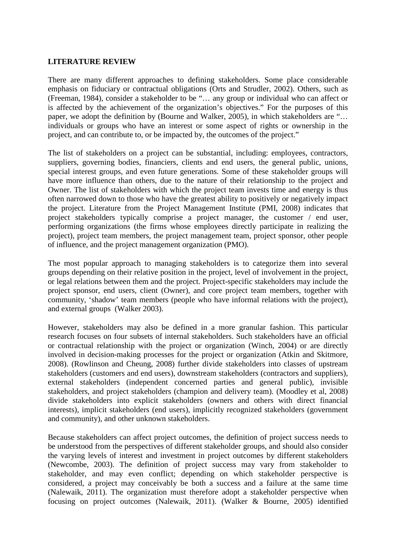#### **LITERATURE REVIEW**

There are many different approaches to defining stakeholders. Some place considerable emphasis on fiduciary or contractual obligations (Orts and Strudler, 2002). Others, such as (Freeman, 1984), consider a stakeholder to be "… any group or individual who can affect or is affected by the achievement of the organization's objectives." For the purposes of this paper, we adopt the definition by (Bourne and Walker, 2005), in which stakeholders are "… individuals or groups who have an interest or some aspect of rights or ownership in the project, and can contribute to, or be impacted by, the outcomes of the project."

The list of stakeholders on a project can be substantial, including: employees, contractors, suppliers, governing bodies, financiers, clients and end users, the general public, unions, special interest groups, and even future generations. Some of these stakeholder groups will have more influence than others, due to the nature of their relationship to the project and Owner. The list of stakeholders with which the project team invests time and energy is thus often narrowed down to those who have the greatest ability to positively or negatively impact the project. Literature from the Project Management Institute (PMI, 2008) indicates that project stakeholders typically comprise a project manager, the customer / end user, performing organizations (the firms whose employees directly participate in realizing the project), project team members, the project management team, project sponsor, other people of influence, and the project management organization (PMO).

The most popular approach to managing stakeholders is to categorize them into several groups depending on their relative position in the project, level of involvement in the project, or legal relations between them and the project. Project-specific stakeholders may include the project sponsor, end users, client (Owner), and core project team members, together with community, 'shadow' team members (people who have informal relations with the project), and external groups (Walker 2003).

However, stakeholders may also be defined in a more granular fashion. This particular research focuses on four subsets of internal stakeholders. Such stakeholders have an official or contractual relationship with the project or organization (Winch, 2004) or are directly involved in decision-making processes for the project or organization (Atkin and Skitmore, 2008). (Rowlinson and Cheung, 2008) further divide stakeholders into classes of upstream stakeholders (customers and end users), downstream stakeholders (contractors and suppliers), external stakeholders (independent concerned parties and general public), invisible stakeholders, and project stakeholders (champion and delivery team). (Moodley et al, 2008) divide stakeholders into explicit stakeholders (owners and others with direct financial interests), implicit stakeholders (end users), implicitly recognized stakeholders (government and community), and other unknown stakeholders.

Because stakeholders can affect project outcomes, the definition of project success needs to be understood from the perspectives of different stakeholder groups, and should also consider the varying levels of interest and investment in project outcomes by different stakeholders (Newcombe, 2003). The definition of project success may vary from stakeholder to stakeholder, and may even conflict; depending on which stakeholder perspective is considered, a project may conceivably be both a success and a failure at the same time (Nalewaik, 2011). The organization must therefore adopt a stakeholder perspective when focusing on project outcomes (Nalewaik, 2011). (Walker & Bourne, 2005) identified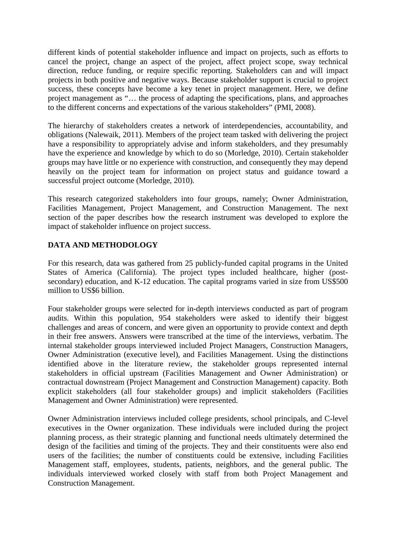different kinds of potential stakeholder influence and impact on projects, such as efforts to cancel the project, change an aspect of the project, affect project scope, sway technical direction, reduce funding, or require specific reporting. Stakeholders can and will impact projects in both positive and negative ways. Because stakeholder support is crucial to project success, these concepts have become a key tenet in project management. Here, we define project management as "… the process of adapting the specifications, plans, and approaches to the different concerns and expectations of the various stakeholders" (PMI, 2008).

The hierarchy of stakeholders creates a network of interdependencies, accountability, and obligations (Nalewaik, 2011). Members of the project team tasked with delivering the project have a responsibility to appropriately advise and inform stakeholders, and they presumably have the experience and knowledge by which to do so (Morledge, 2010). Certain stakeholder groups may have little or no experience with construction, and consequently they may depend heavily on the project team for information on project status and guidance toward a successful project outcome (Morledge, 2010).

This research categorized stakeholders into four groups, namely; Owner Administration, Facilities Management, Project Management, and Construction Management. The next section of the paper describes how the research instrument was developed to explore the impact of stakeholder influence on project success.

# **DATA AND METHODOLOGY**

For this research, data was gathered from 25 publicly-funded capital programs in the United States of America (California). The project types included healthcare, higher (postsecondary) education, and K-12 education. The capital programs varied in size from US\$500 million to US\$6 billion.

Four stakeholder groups were selected for in-depth interviews conducted as part of program audits. Within this population, 954 stakeholders were asked to identify their biggest challenges and areas of concern, and were given an opportunity to provide context and depth in their free answers. Answers were transcribed at the time of the interviews, verbatim. The internal stakeholder groups interviewed included Project Managers, Construction Managers, Owner Administration (executive level), and Facilities Management. Using the distinctions identified above in the literature review, the stakeholder groups represented internal stakeholders in official upstream (Facilities Management and Owner Administration) or contractual downstream (Project Management and Construction Management) capacity. Both explicit stakeholders (all four stakeholder groups) and implicit stakeholders (Facilities Management and Owner Administration) were represented.

Owner Administration interviews included college presidents, school principals, and C-level executives in the Owner organization. These individuals were included during the project planning process, as their strategic planning and functional needs ultimately determined the design of the facilities and timing of the projects. They and their constituents were also end users of the facilities; the number of constituents could be extensive, including Facilities Management staff, employees, students, patients, neighbors, and the general public. The individuals interviewed worked closely with staff from both Project Management and Construction Management.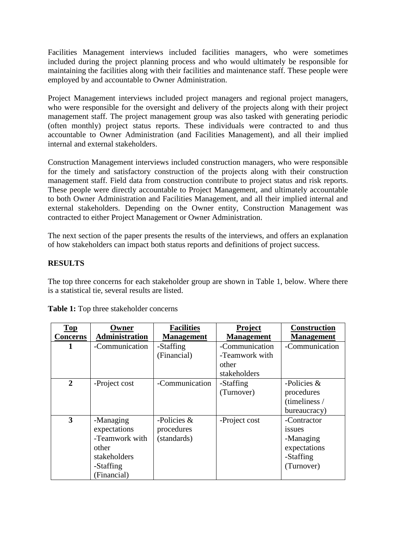Facilities Management interviews included facilities managers, who were sometimes included during the project planning process and who would ultimately be responsible for maintaining the facilities along with their facilities and maintenance staff. These people were employed by and accountable to Owner Administration.

Project Management interviews included project managers and regional project managers, who were responsible for the oversight and delivery of the projects along with their project management staff. The project management group was also tasked with generating periodic (often monthly) project status reports. These individuals were contracted to and thus accountable to Owner Administration (and Facilities Management), and all their implied internal and external stakeholders.

Construction Management interviews included construction managers, who were responsible for the timely and satisfactory construction of the projects along with their construction management staff. Field data from construction contribute to project status and risk reports. These people were directly accountable to Project Management, and ultimately accountable to both Owner Administration and Facilities Management, and all their implied internal and external stakeholders. Depending on the Owner entity, Construction Management was contracted to either Project Management or Owner Administration.

The next section of the paper presents the results of the interviews, and offers an explanation of how stakeholders can impact both status reports and definitions of project success.

#### **RESULTS**

The top three concerns for each stakeholder group are shown in Table 1, below. Where there is a statistical tie, several results are listed.

| <b>Top</b><br><b>Concerns</b> | Owner<br>Administration                                                                          | <b>Facilities</b><br><b>Management</b>     | Project<br><b>Management</b>                              | <b>Construction</b><br><b>Management</b>                                             |
|-------------------------------|--------------------------------------------------------------------------------------------------|--------------------------------------------|-----------------------------------------------------------|--------------------------------------------------------------------------------------|
| 1                             | -Communication                                                                                   | -Staffing<br>(Financial)                   | -Communication<br>-Teamwork with<br>other<br>stakeholders | -Communication                                                                       |
| $\mathbf{2}$                  | -Project cost                                                                                    | -Communication                             | -Staffing<br>(Turnover)                                   | -Policies $\&$<br>procedures<br>(timeliness /<br>bureaucracy)                        |
| 3                             | -Managing<br>expectations<br>-Teamwork with<br>other<br>stakeholders<br>-Staffing<br>(Financial) | -Policies $&$<br>procedures<br>(standards) | -Project cost                                             | -Contractor<br><i>issues</i><br>-Managing<br>expectations<br>-Staffing<br>(Turnover) |

**Table 1:** Top three stakeholder concerns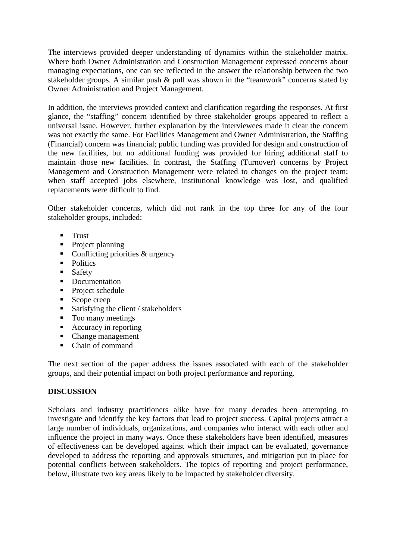The interviews provided deeper understanding of dynamics within the stakeholder matrix. Where both Owner Administration and Construction Management expressed concerns about managing expectations, one can see reflected in the answer the relationship between the two stakeholder groups. A similar push & pull was shown in the "teamwork" concerns stated by Owner Administration and Project Management.

In addition, the interviews provided context and clarification regarding the responses. At first glance, the "staffing" concern identified by three stakeholder groups appeared to reflect a universal issue. However, further explanation by the interviewees made it clear the concern was not exactly the same. For Facilities Management and Owner Administration, the Staffing (Financial) concern was financial; public funding was provided for design and construction of the new facilities, but no additional funding was provided for hiring additional staff to maintain those new facilities. In contrast, the Staffing (Turnover) concerns by Project Management and Construction Management were related to changes on the project team; when staff accepted jobs elsewhere, institutional knowledge was lost, and qualified replacements were difficult to find.

Other stakeholder concerns, which did not rank in the top three for any of the four stakeholder groups, included:

- **Trust**
- $\blacksquare$  Project planning
- Conflicting priorities  $&$  urgency
- Politics
- **Safety**
- Documentation
- Project schedule
- Scope creep
- Satisfying the client / stakeholders
- Too many meetings
- Accuracy in reporting
- Change management
- Chain of command

The next section of the paper address the issues associated with each of the stakeholder groups, and their potential impact on both project performance and reporting.

# **DISCUSSION**

Scholars and industry practitioners alike have for many decades been attempting to investigate and identify the key factors that lead to project success. Capital projects attract a large number of individuals, organizations, and companies who interact with each other and influence the project in many ways. Once these stakeholders have been identified, measures of effectiveness can be developed against which their impact can be evaluated, governance developed to address the reporting and approvals structures, and mitigation put in place for potential conflicts between stakeholders. The topics of reporting and project performance, below, illustrate two key areas likely to be impacted by stakeholder diversity.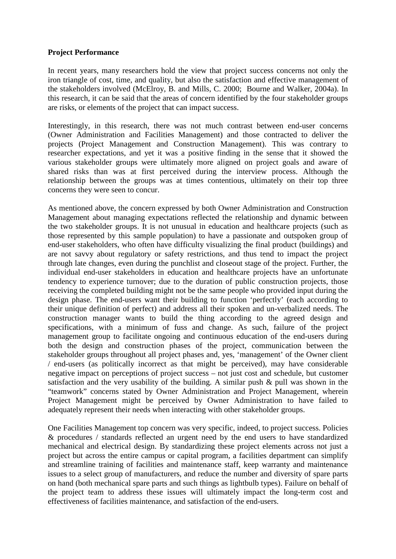#### **Project Performance**

In recent years, many researchers hold the view that project success concerns not only the iron triangle of cost, time, and quality, but also the satisfaction and effective management of the stakeholders involved (McElroy, B. and Mills, C. 2000; Bourne and Walker, 2004a). In this research, it can be said that the areas of concern identified by the four stakeholder groups are risks, or elements of the project that can impact success.

Interestingly, in this research, there was not much contrast between end-user concerns (Owner Administration and Facilities Management) and those contracted to deliver the projects (Project Management and Construction Management). This was contrary to researcher expectations, and yet it was a positive finding in the sense that it showed the various stakeholder groups were ultimately more aligned on project goals and aware of shared risks than was at first perceived during the interview process. Although the relationship between the groups was at times contentious, ultimately on their top three concerns they were seen to concur.

As mentioned above, the concern expressed by both Owner Administration and Construction Management about managing expectations reflected the relationship and dynamic between the two stakeholder groups. It is not unusual in education and healthcare projects (such as those represented by this sample population) to have a passionate and outspoken group of end-user stakeholders, who often have difficulty visualizing the final product (buildings) and are not savvy about regulatory or safety restrictions, and thus tend to impact the project through late changes, even during the punchlist and closeout stage of the project. Further, the individual end-user stakeholders in education and healthcare projects have an unfortunate tendency to experience turnover; due to the duration of public construction projects, those receiving the completed building might not be the same people who provided input during the design phase. The end-users want their building to function 'perfectly' (each according to their unique definition of perfect) and address all their spoken and un-verbalized needs. The construction manager wants to build the thing according to the agreed design and specifications, with a minimum of fuss and change. As such, failure of the project management group to facilitate ongoing and continuous education of the end-users during both the design and construction phases of the project, communication between the stakeholder groups throughout all project phases and, yes, 'management' of the Owner client / end-users (as politically incorrect as that might be perceived), may have considerable negative impact on perceptions of project success – not just cost and schedule, but customer satisfaction and the very usability of the building. A similar push  $\&$  pull was shown in the "teamwork" concerns stated by Owner Administration and Project Management, wherein Project Management might be perceived by Owner Administration to have failed to adequately represent their needs when interacting with other stakeholder groups.

One Facilities Management top concern was very specific, indeed, to project success. Policies & procedures / standards reflected an urgent need by the end users to have standardized mechanical and electrical design. By standardizing these project elements across not just a project but across the entire campus or capital program, a facilities department can simplify and streamline training of facilities and maintenance staff, keep warranty and maintenance issues to a select group of manufacturers, and reduce the number and diversity of spare parts on hand (both mechanical spare parts and such things as lightbulb types). Failure on behalf of the project team to address these issues will ultimately impact the long-term cost and effectiveness of facilities maintenance, and satisfaction of the end-users.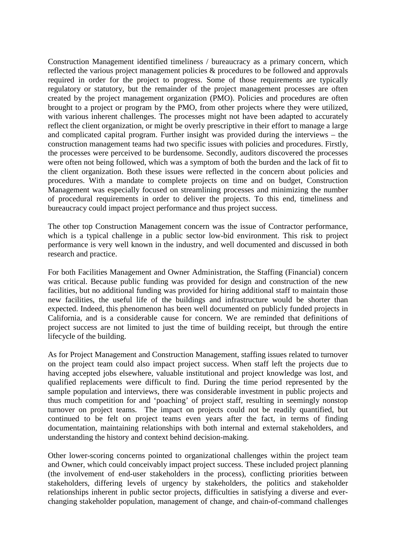Construction Management identified timeliness / bureaucracy as a primary concern, which reflected the various project management policies & procedures to be followed and approvals required in order for the project to progress. Some of those requirements are typically regulatory or statutory, but the remainder of the project management processes are often created by the project management organization (PMO). Policies and procedures are often brought to a project or program by the PMO, from other projects where they were utilized, with various inherent challenges. The processes might not have been adapted to accurately reflect the client organization, or might be overly prescriptive in their effort to manage a large and complicated capital program. Further insight was provided during the interviews – the construction management teams had two specific issues with policies and procedures. Firstly, the processes were perceived to be burdensome. Secondly, auditors discovered the processes were often not being followed, which was a symptom of both the burden and the lack of fit to the client organization. Both these issues were reflected in the concern about policies and procedures. With a mandate to complete projects on time and on budget, Construction Management was especially focused on streamlining processes and minimizing the number of procedural requirements in order to deliver the projects. To this end, timeliness and bureaucracy could impact project performance and thus project success.

The other top Construction Management concern was the issue of Contractor performance, which is a typical challenge in a public sector low-bid environment. This risk to project performance is very well known in the industry, and well documented and discussed in both research and practice.

For both Facilities Management and Owner Administration, the Staffing (Financial) concern was critical. Because public funding was provided for design and construction of the new facilities, but no additional funding was provided for hiring additional staff to maintain those new facilities, the useful life of the buildings and infrastructure would be shorter than expected. Indeed, this phenomenon has been well documented on publicly funded projects in California, and is a considerable cause for concern. We are reminded that definitions of project success are not limited to just the time of building receipt, but through the entire lifecycle of the building.

As for Project Management and Construction Management, staffing issues related to turnover on the project team could also impact project success. When staff left the projects due to having accepted jobs elsewhere, valuable institutional and project knowledge was lost, and qualified replacements were difficult to find. During the time period represented by the sample population and interviews, there was considerable investment in public projects and thus much competition for and 'poaching' of project staff, resulting in seemingly nonstop turnover on project teams. The impact on projects could not be readily quantified, but continued to be felt on project teams even years after the fact, in terms of finding documentation, maintaining relationships with both internal and external stakeholders, and understanding the history and context behind decision-making.

Other lower-scoring concerns pointed to organizational challenges within the project team and Owner, which could conceivably impact project success. These included project planning (the involvement of end-user stakeholders in the process), conflicting priorities between stakeholders, differing levels of urgency by stakeholders, the politics and stakeholder relationships inherent in public sector projects, difficulties in satisfying a diverse and everchanging stakeholder population, management of change, and chain-of-command challenges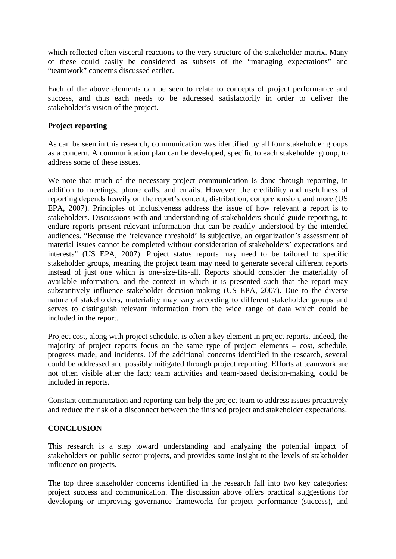which reflected often visceral reactions to the very structure of the stakeholder matrix. Many of these could easily be considered as subsets of the "managing expectations" and "teamwork" concerns discussed earlier.

Each of the above elements can be seen to relate to concepts of project performance and success, and thus each needs to be addressed satisfactorily in order to deliver the stakeholder's vision of the project.

### **Project reporting**

As can be seen in this research, communication was identified by all four stakeholder groups as a concern. A communication plan can be developed, specific to each stakeholder group, to address some of these issues.

We note that much of the necessary project communication is done through reporting, in addition to meetings, phone calls, and emails. However, the credibility and usefulness of reporting depends heavily on the report's content, distribution, comprehension, and more (US EPA, 2007). Principles of inclusiveness address the issue of how relevant a report is to stakeholders. Discussions with and understanding of stakeholders should guide reporting, to endure reports present relevant information that can be readily understood by the intended audiences. "Because the 'relevance threshold' is subjective, an organization's assessment of material issues cannot be completed without consideration of stakeholders' expectations and interests" (US EPA, 2007). Project status reports may need to be tailored to specific stakeholder groups, meaning the project team may need to generate several different reports instead of just one which is one-size-fits-all. Reports should consider the materiality of available information, and the context in which it is presented such that the report may substantively influence stakeholder decision-making (US EPA, 2007). Due to the diverse nature of stakeholders, materiality may vary according to different stakeholder groups and serves to distinguish relevant information from the wide range of data which could be included in the report.

Project cost, along with project schedule, is often a key element in project reports. Indeed, the majority of project reports focus on the same type of project elements – cost, schedule, progress made, and incidents. Of the additional concerns identified in the research, several could be addressed and possibly mitigated through project reporting. Efforts at teamwork are not often visible after the fact; team activities and team-based decision-making, could be included in reports.

Constant communication and reporting can help the project team to address issues proactively and reduce the risk of a disconnect between the finished project and stakeholder expectations.

# **CONCLUSION**

This research is a step toward understanding and analyzing the potential impact of stakeholders on public sector projects, and provides some insight to the levels of stakeholder influence on projects.

The top three stakeholder concerns identified in the research fall into two key categories: project success and communication. The discussion above offers practical suggestions for developing or improving governance frameworks for project performance (success), and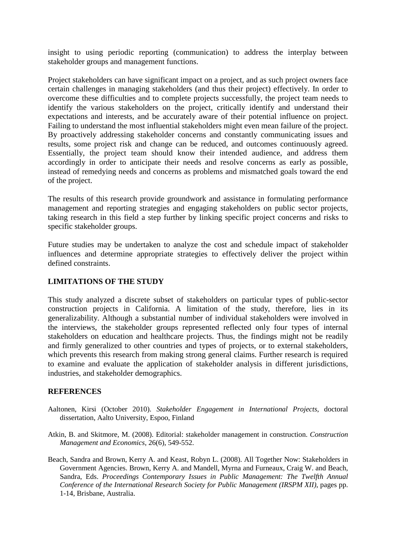insight to using periodic reporting (communication) to address the interplay between stakeholder groups and management functions.

Project stakeholders can have significant impact on a project, and as such project owners face certain challenges in managing stakeholders (and thus their project) effectively. In order to overcome these difficulties and to complete projects successfully, the project team needs to identify the various stakeholders on the project, critically identify and understand their expectations and interests, and be accurately aware of their potential influence on project. Failing to understand the most influential stakeholders might even mean failure of the project. By proactively addressing stakeholder concerns and constantly communicating issues and results, some project risk and change can be reduced, and outcomes continuously agreed. Essentially, the project team should know their intended audience, and address them accordingly in order to anticipate their needs and resolve concerns as early as possible, instead of remedying needs and concerns as problems and mismatched goals toward the end of the project.

The results of this research provide groundwork and assistance in formulating performance management and reporting strategies and engaging stakeholders on public sector projects, taking research in this field a step further by linking specific project concerns and risks to specific stakeholder groups.

Future studies may be undertaken to analyze the cost and schedule impact of stakeholder influences and determine appropriate strategies to effectively deliver the project within defined constraints.

### **LIMITATIONS OF THE STUDY**

This study analyzed a discrete subset of stakeholders on particular types of public-sector construction projects in California. A limitation of the study, therefore, lies in its generalizability. Although a substantial number of individual stakeholders were involved in the interviews, the stakeholder groups represented reflected only four types of internal stakeholders on education and healthcare projects. Thus, the findings might not be readily and firmly generalized to other countries and types of projects, or to external stakeholders, which prevents this research from making strong general claims. Further research is required to examine and evaluate the application of stakeholder analysis in different jurisdictions, industries, and stakeholder demographics.

#### **REFERENCES**

- Aaltonen, Kirsi (October 2010). *Stakeholder Engagement in International Projects*, doctoral dissertation, Aalto University, Espoo, Finland
- Atkin, B. and Skitmore, M. (2008). Editorial: stakeholder management in construction. *Construction Management and Economics*, 26(6), 549-552.
- Beach, Sandra and Brown, Kerry A. and Keast, Robyn L. (2008). All Together Now: Stakeholders in Government Agencies. Brown, Kerry A. and Mandell, Myrna and Furneaux, Craig W. and Beach, Sandra, Eds. *Proceedings Contemporary Issues in Public Management: The Twelfth Annual Conference of the International Research Society for Public Management (IRSPM XII)*, pages pp. 1-14, Brisbane, Australia.